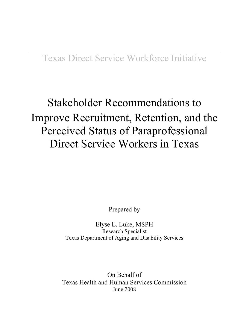## Stakeholder Recommendations to Improve Recruitment, Retention, and the Perceived Status of Paraprofessional Direct Service Workers in Texas

Prepared by

Elyse L. Luke, MSPH Research Specialist Texas Department of Aging and Disability Services

On Behalf of Texas Health and Human Services Commission June 2008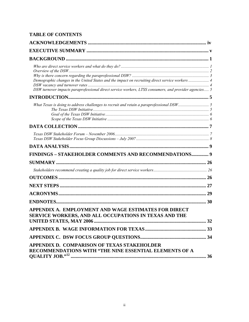### **TABLE OF CONTENTS**

| Demographic changes in the United States and the impact on recruiting direct service workers  4<br>DSW turnover impacts paraprofessional direct service workers, LTSS consumers, and provider agencies 5 |    |
|----------------------------------------------------------------------------------------------------------------------------------------------------------------------------------------------------------|----|
|                                                                                                                                                                                                          |    |
|                                                                                                                                                                                                          |    |
|                                                                                                                                                                                                          |    |
|                                                                                                                                                                                                          |    |
|                                                                                                                                                                                                          |    |
| FINDINGS - STAKEHOLDER COMMENTS AND RECOMMENDATIONS 9                                                                                                                                                    |    |
|                                                                                                                                                                                                          |    |
|                                                                                                                                                                                                          |    |
|                                                                                                                                                                                                          |    |
|                                                                                                                                                                                                          |    |
|                                                                                                                                                                                                          |    |
|                                                                                                                                                                                                          |    |
| APPENDIX A. EMPLOYMENT AND WAGE ESTIMATES FOR DIRECT<br>SERVICE WORKERS, AND ALL OCCUPATIONS IN TEXAS AND THE                                                                                            |    |
| <b>UNITED STATES, MAY 2006</b>                                                                                                                                                                           | 32 |
|                                                                                                                                                                                                          |    |
|                                                                                                                                                                                                          |    |
| APPENDIX D. COMPARISON OF TEXAS STAKEHOLDER<br>RECOMMENDATIONS WITH "THE NINE ESSENTIAL ELEMENTS OF A                                                                                                    |    |
|                                                                                                                                                                                                          |    |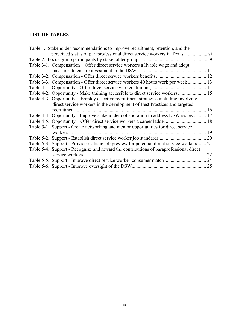### **LIST OF TABLES**

| Table 1. Stakeholder recommendations to improve recruitment, retention, and the             |    |
|---------------------------------------------------------------------------------------------|----|
|                                                                                             |    |
|                                                                                             |    |
| Table 3-1. Compensation – Offer direct service workers a livable wage and adopt             |    |
|                                                                                             |    |
|                                                                                             |    |
| Table 3-3. Compensation - Offer direct service workers 40 hours work per week 13            |    |
|                                                                                             |    |
| Table 4-2. Opportunity - Make training accessible to direct service workers 15              |    |
| Table 4-3. Opportunity – Employ effective recruitment strategies including involving        |    |
| direct service workers in the development of Best Practices and targeted                    |    |
|                                                                                             |    |
| Table 4-4. Opportunity - Improve stakeholder collaboration to address DSW issues 17         |    |
|                                                                                             |    |
| Table 5-1. Support - Create networking and mentor opportunities for direct service          |    |
| workers.                                                                                    |    |
|                                                                                             |    |
| Table 5-3. Support - Provide realistic job preview for potential direct service workers  21 |    |
| Table 5-4. Support - Recognize and reward the contributions of paraprofessional direct      |    |
|                                                                                             | 22 |
|                                                                                             |    |
|                                                                                             |    |
|                                                                                             |    |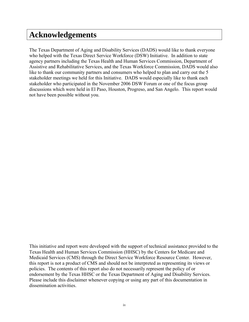### <span id="page-3-0"></span>**Acknowledgements**

The Texas Department of Aging and Disability Services (DADS) would like to thank everyone who helped with the Texas Direct Service Workforce (DSW) Initiative. In addition to state agency partners including the Texas Health and Human Services Commission, Department of Assistive and Rehabilitative Services, and the Texas Workforce Commission, DADS would also like to thank our community partners and consumers who helped to plan and carry out the 5 stakeholder meetings we held for this Initiative. DADS would especially like to thank each stakeholder who participated in the November 2006 DSW Forum or one of the focus group discussions which were held in El Paso, Houston, Progreso, and San Angelo. This report would not have been possible without you.

This initiative and report were developed with the support of technical assistance provided to the Texas Health and Human Services Commission (HHSC) by the Centers for Medicare and Medicaid Services (CMS) through the Direct Service Workforce Resource Center. However, this report is not a product of CMS and should not be interpreted as representing its views or policies. The contents of this report also do not necessarily represent the policy of or endorsement by the Texas HHSC or the Texas Department of Aging and Disability Services. Please include this disclaimer whenever copying or using any part of this documentation in dissemination activities.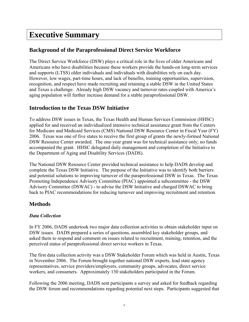### <span id="page-4-0"></span>**Executive Summary**

### **Background of the Paraprofessional Direct Service Workforce**

The Direct Service Workforce (DSW) plays a critical role in the lives of older Americans and Americans who have disabilities because these workers provide the hands-on long-term services and supports (LTSS) older individuals and individuals with disabilities rely on each day. However, low wages, part-time hours, and lack of benefits, training opportunities, supervision, recognition, and respect have made recruiting and retaining a stable DSW in the United States and Texas a challenge. Already high DSW vacancy and turnover rates coupled with America's aging population will further increase demand for a stable paraprofessional DSW.

#### **Introduction to the Texas DSW Initiative**

To address DSW issues in Texas, the Texas Health and Human Services Commission (HHSC) applied for and received an individualized intensive technical assistance grant from the Centers for Medicare and Medicaid Services (CMS) National DSW Resource Center in Fiscal Year (FY) 2006. Texas was one of five states to receive the first group of grants the newly-formed National DSW Resource Center awarded. The one-year grant was for technical assistance only; no funds accompanied the grant. HHSC delegated daily management and completion of the Initiative to the Department of Aging and Disability Services (DADS).

The National DSW Resource Center provided technical assistance to help DADS develop and complete the Texas DSW Initiative. The purpose of the Initiative was to identify both barriers and potential solutions to improving turnover of the paraprofessional DSW in Texas. The Texas Promoting Independence Advisory Committee (PIAC) appointed a subcommittee - the DSW Advisory Committee (DSWAC) - to advise the DSW Initiative and charged DSWAC to bring back to PIAC recommendations for reducing turnover and improving recruitment and retention.

### **Methods**

#### *Data Collection*

In FY 2006, DADS undertook two major data collection activities to obtain stakeholder input on DSW issues. DADS prepared a series of questions, assembled key stakeholder groups, and asked them to respond and comment on issues related to recruitment, training, retention, and the perceived status of paraprofessional direct service workers in Texas.

The first data collection activity was a DSW Stakeholder Forum which was held in Austin, Texas in November 2006. The Forum brought together national DSW experts, lead state agency representatives, service providers/employers, community groups, advocates, direct service workers, and consumers. Approximately 130 stakeholders participated in the Forum.

Following the 2006 meeting, DADS sent participants a survey and asked for feedback regarding the DSW forum and recommendations regarding potential next steps. Participants suggested that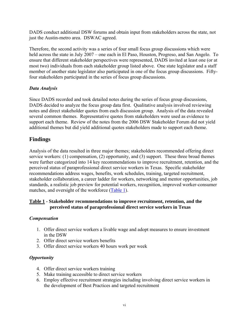<span id="page-5-0"></span>DADS conduct additional DSW forums and obtain input from stakeholders across the state, not just the Austin-metro area. DSWAC agreed.

Therefore, the second activity was a series of four small focus group discussions which were held across the state in July 2007 – one each in El Paso, Houston, Progreso, and San Angelo. To ensure that different stakeholder perspectives were represented, DADS invited at least one (or at most two) individuals from each stakeholder group listed above. One state legislator and a staff member of another state legislator also participated in one of the focus group discussions. Fiftyfour stakeholders participated in the series of focus group discussions.

#### *Data Analysis*

Since DADS recorded and took detailed notes during the series of focus group discussions, DADS decided to analyze the focus group data first. Qualitative analysis involved reviewing notes and direct stakeholder quotes from each discussion group. Analysis of the data revealed several common themes. Representative quotes from stakeholders were used as evidence to support each theme. Review of the notes from the 2006 DSW Stakeholder Forum did not yield additional themes but did yield additional quotes stakeholders made to support each theme.

### **Findings**

Analysis of the data resulted in three major themes; stakeholders recommended offering direct service workers: (1) compensation, (2) opportunity, and (3) support. These three broad themes were further categorized into 14 key recommendations to improve recruitment, retention, and the perceived status of paraprofessional direct service workers in Texas. Specific stakeholder recommendations address wages, benefits, work schedules, training, targeted recruitment, stakeholder collaboration, a career ladder for workers, networking and mentor opportunities, job standards, a realistic job preview for potential workers, recognition, improved worker-consumer matches, and oversight of the workforce [\(Table 1\)](#page-5-0).

#### **Table 1 - Stakeholder recommendations to improve recruitment, retention, and the perceived status of paraprofessional direct service workers in Texas**

#### *Compensation*

- 1. Offer direct service workers a livable wage and adopt measures to ensure investment in the DSW
- 2. Offer direct service workers benefits
- 3. Offer direct service workers 40 hours work per week

#### *Opportunity*

- 4. Offer direct service workers training
- 5. Make training accessible to direct service workers
- 6. Employ effective recruitment strategies including involving direct service workers in the development of Best Practices and targeted recruitment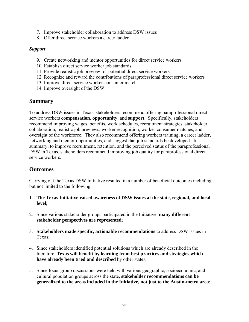- 7. Improve stakeholder collaboration to address DSW issues
- 8. Offer direct service workers a career ladder

#### *Support*

- 9. Create networking and mentor opportunities for direct service workers
- 10. Establish direct service worker job standards
- 11. Provide realistic job preview for potential direct service workers
- 12. Recognize and reward the contributions of paraprofessional direct service workers
- 13. Improve direct service worker-consumer match
- 14. Improve oversight of the DSW

#### **Summary**

To address DSW issues in Texas, stakeholders recommend offering paraprofessional direct service workers **compensation**, **opportunity**, and **support**.Specifically, stakeholders recommend improving wages, benefits, work schedules, recruitment strategies, stakeholder collaboration, realistic job previews, worker recognition, worker-consumer matches, and oversight of the workforce. They also recommend offering workers training, a career ladder, networking and mentor opportunities, and suggest that job standards be developed. In summary, to improve recruitment, retention, and the perceived status of the paraprofessional DSW in Texas, stakeholders recommend improving job quality for paraprofessional direct service workers.

#### **Outcomes**

Carrying out the Texas DSW Initiative resulted in a number of beneficial outcomes including but not limited to the following:

- 1. **The Texas Initiative raised awareness of DSW issues at the state, regional, and local level**;
- 2. Since various stakeholder groups participated in the Initiative, **many different stakeholder perspectives are represented**;
- 3. **Stakeholders made specific, actionable recommendations** to address DSW issues in Texas;
- 4. Since stakeholders identified potential solutions which are already described in the literature, **Texas will benefit by learning from best practices and strategies which have already been tried and described** by other states;
- 5. Since focus group discussions were held with various geographic, socioeconomic, and cultural population groups across the state, **stakeholder recommendations can be generalized to the areas included in the Initiative, not just to the Austin-metro area**;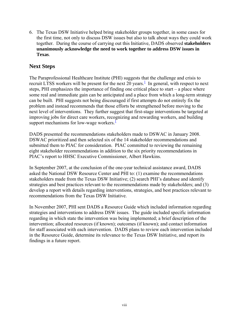6. The Texas DSW Initiative helped bring stakeholder groups together, in some cases for the first time, not only to discuss DSW issues but also to talk about ways they could work together. During the course of carrying out this Initiative, DADS observed **stakeholders unanimously acknowledge the need to work together to address DSW issues in Texas**.

### **Next Steps**

The Paraprofessional Healthcare Institute (PHI) suggests that the challenge and crisis to recruit LTSS workers will be present for the next  $20$  years.<sup>1</sup> In general, with respect to next steps, PHI emphasizes the importance of finding one critical place to start – a place where some real and immediate gain can be anticipated and a place from which a long-term strategy can be built. PHI suggests not being discouraged if first attempts do not entirely fix the problem and instead recommends that those efforts be strengthened before moving to the next level of interventions. They further suggest that first-stage interventions be targeted at improving jobs for direct care workers, recognizing and rewarding workers, and building support mechanisms for low-wage workers. $\frac{1}{1}$ 

DADS presented the recommendations stakeholders made to DSWAC in January 2008. DSWAC prioritized and then selected six of the 14 stakeholder recommendations and submitted them to PIAC for consideration. PIAC committed to reviewing the remaining eight stakeholder recommendations in addition to the six priority recommendations in PIAC's report to HHSC Executive Commissioner, Albert Hawkins.

In September 2007, at the conclusion of the one-year technical assistance award, DADS asked the National DSW Resource Center and PHI to: (1) examine the recommendations stakeholders made from the Texas DSW Initiative; (2) search PHI's database and identify strategies and best practices relevant to the recommendations made by stakeholders; and (3) develop a report with details regarding interventions, strategies, and best practices relevant to recommendations from the Texas DSW Initiative.

In November 2007, PHI sent DADS a Resource Guide which included information regarding strategies and interventions to address DSW issues. The guide included specific information regarding in which state the intervention was being implemented; a brief description of the intervention; allocated resources (if known); outcomes (if known); and contact information for staff associated with each intervention. DADS plans to review each intervention included in the Resource Guide, determine its relevance to the Texas DSW Initiative, and report its findings in a future report.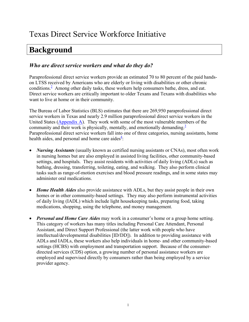## <span id="page-8-0"></span>**Background**

### *Who are direct service workers and what do they do?*

Paraprofessional direct service workers provide an estimated 70 to 80 percent of the paid handson LTSS received by Americans who are elderly or living with disabilities or other chronic conditions. $<sup>2</sup>$  Among other daily tasks, these workers help consumers bathe, dress, and eat.</sup> Direct service workers are critically important to older Texans and Texans with disabilities who want to live at home or in their community.

The Bureau of Labor Statistics (BLS) estimates that there are 269,950 paraprofessional direct service workers in Texas and nearly 2.9 million paraprofessional direct service workers in the United States [\(Appendix A](#page-39-0)). They work with some of the most vulnerable members of the community and their work is physically, mentally, and emotionally demanding. $3$ Paraprofessional direct service workers fall into one of three categories, nursing assistants, home health aides, and personal and home care aides $\frac{4}{3}$  $\frac{4}{3}$  $\frac{4}{3}$ :

- *Nursing Assistants* (usually known as certified nursing assistants or CNAs), most often work in nursing homes but are also employed in assisted living facilities, other community-based settings, and hospitals. They assist residents with activities of daily living (ADLs) such as bathing, dressing, transferring, toileting, eating, and walking. They also perform clinical tasks such as range-of-motion exercises and blood pressure readings, and in some states may administer oral medications.
- *Home Health Aides* also provide assistance with ADLs, but they assist people in their own homes or in other community-based settings. They may also perform instrumental activities of daily living (IADL) which include light housekeeping tasks, preparing food, taking medications, shopping, using the telephone, and money management.
- *Personal and Home Care Aides* may work in a consumer's home or a group home setting. This category of workers has many titles including Personal Care Attendant, Personal Assistant, and Direct Support Professional (the latter work with people who have intellectual/developmental disabilities [ID/DD]). In addition to providing assistance with ADLs and IADLs, these workers also help individuals in home- and other community-based settings (HCBS) with employment and transportation support. Because of the consumerdirected services (CDS) option, a growing number of personal assistance workers are employed and supervised directly by consumers rather than being employed by a service provider agency.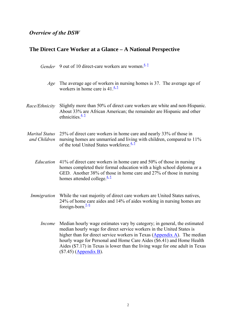### <span id="page-9-0"></span>*Overview of the DSW*

|                                       | <i>Gender</i> 9 out of 10 direct-care workers are women. <sup>4, 5</sup>                                                                                                                                                                                                                                                                                                                                          |
|---------------------------------------|-------------------------------------------------------------------------------------------------------------------------------------------------------------------------------------------------------------------------------------------------------------------------------------------------------------------------------------------------------------------------------------------------------------------|
|                                       | Age The average age of workers in nursing homes is 37. The average age of<br>workers in home care is $41.\frac{4}{5}$                                                                                                                                                                                                                                                                                             |
| Race/Ethnicity                        | Slightly more than 50% of direct care workers are white and non-Hispanic.<br>About 33% are African American; the remainder are Hispanic and other<br>ethnicities. $\frac{4}{5}$                                                                                                                                                                                                                                   |
| <b>Marital Status</b><br>and Children | 25% of direct care workers in home care and nearly 33% of those in<br>nursing homes are unmarried and living with children, compared to 11%<br>of the total United States workforce. $4.5$                                                                                                                                                                                                                        |
| Education                             | 41% of direct care workers in home care and 50% of those in nursing<br>homes completed their formal education with a high school diploma or a<br>GED. Another 38% of those in home care and 27% of those in nursing<br>homes attended college. $\frac{4}{3}$                                                                                                                                                      |
| Immigration                           | While the vast majority of direct care workers are United States natives,<br>24% of home care aides and 14% of aides working in nursing homes are<br>foreign-born. $\frac{5}{6}$                                                                                                                                                                                                                                  |
| <i>Income</i>                         | Median hourly wage estimates vary by category; in general, the estimated<br>median hourly wage for direct service workers in the United States is<br>higher than for direct service workers in Texas (Appendix A). The median<br>hourly wage for Personal and Home Care Aides (\$6.41) and Home Health<br>Aides (\$7.17) in Texas is lower than the living wage for one adult in Texas<br>$($7.45)$ (Appendix B). |

# **The Direct Care Worker at a Glance – A National Perspective**

2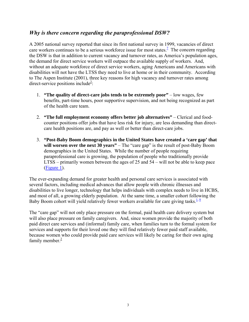#### <span id="page-10-0"></span>*Why is there concern regarding the paraprofessional DSW?*

A 2005 national survey reported that since its first national survey in 1999, vacancies of direct care workers continues to be a serious workforce issue for most states.<sup>2</sup> The concern regarding the DSW is that in addition to current vacancy and turnover rates, as America's population ages, the demand for direct service workers will outpace the available supply of workers. And, without an adequate workforce of direct service workers, aging Americans and Americans with disabilities will not have the LTSS they need to live at home or in their community. According to The Aspen Institute (2001), three key reasons for high vacancy and turnover rates among direct-service positions include<sup>2</sup>:

- 1. **"The quality of direct-care jobs tends to be extremely poor"**  low wages, few benefits, part-time hours, poor supportive supervision, and not being recognized as part of the health care team.
- 2. **"The full employment economy offers better job alternatives"** Clerical and foodcounter positions offer jobs that have less risk for injury, are less demanding than directcare health positions are, and pay as well or better than direct-care jobs.
- 3. **"Post-Baby Boom demographics in the United States have created a 'care gap' that**  will worsen over the next 30 years" – The "care gap" is the result of post-Baby Boom demographics in the United States. While the number of people requiring paraprofessional care is growing, the population of people who traditionally provide LTSS – primarily women between the ages of 25 and 54 – will not be able to keep pace ([Figure 1](#page--1-0)).

The ever-expanding demand for greater health and personal care services is associated with several factors, including medical advances that allow people with chronic illnesses and disabilities to live longer, technology that helps individuals with complex needs to live in HCBS, and most of all, a growing elderly population. At the same time, a smaller cohort following the Baby Boom cohort will yield relatively fewer workers available for care giving tasks.<sup>1, [8](#page-37-0)</sup>

The "care gap" will not only place pressure on the formal, paid health care delivery system but will also place pressure on family caregivers. And, since women provide the majority of both paid direct care services and (informal) family care, when families turn to the formal system for services and supports for their loved one they will find relatively fewer paid staff available, because women who could provide paid care services will likely be caring for their own aging family member. $<sup>2</sup>$  $<sup>2</sup>$  $<sup>2</sup>$ </sup>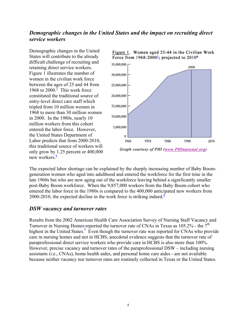### <span id="page-11-0"></span>*Demographic changes in the United States and the impact on recruiting direct service workers*

Demographic changes in the United States will contribute to the already difficult challenge of recruiting and retaining direct service workers. Figure 1 illustrates the number of women in the civilian work force between the ages of 25 and 44 from 1968 to  $2000$ <sup>I</sup> This work force constituted the traditional source of entry-level direct care staff which tripled from 10 million women in 1968 to more than 30 million women in 2000. In the 1980s, nearly 10 million workers from this cohort entered the labor force. However, the United States Department of Labor predicts that from 2000-2010, this traditional source of workers will only grow by 1.25 percent or 400,000 new workers.<sup>[8](#page-37-0)</sup>



Figure 1. Women aged 25-44 in the Civilian Work

The expected labor shortage can be explained by the sharply increasing number of Baby Boomgeneration women who aged into adulthood and entered the workforce for the first time in the late 1960s but who are now aging out of the workforce leaving behind a significantly smaller post-Baby Boom workforce. When the 9,857,000 workers from the Baby Boom cohort who entered the labor force in the 1980s is compared to the 400,000 antici[p](#page-37-0)ated new workers from [2](#page-37-0)000-2010, the expected decline in the work force is striking indeed.<sup>[8](#page-37-0)</sup>

#### *DSW vacancy and turnover rates*

Results from the 2002 American Health Care Association Survey of Nursing Staff Vacancy and Turnover in Nursing Homes-reported the turnover rate of CNAs in Texas as  $105.2\%$  - the  $7<sup>th</sup>$ highest in the United States.<sup>9</sup> Even though the turnover rate was reported for CNAs who provide care in nursing homes and not in HCBS, anecdotal evidence suggests that the turnover rate of paraprofessional direct service workers who provide care in HCBS is also more than 100%. However, precise vacancy and turnover rates of the paraprofessional DSW – including nursin g assistants (i.e., CNAs), home health aides, and personal home care aides - are not available because neither vacancy nor turnover rates are routinely collected in Texas or the United States.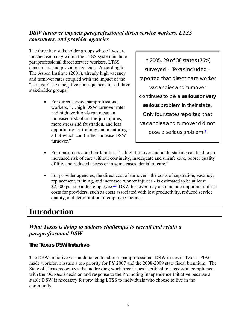### <span id="page-12-0"></span>*DSW turnover impacts paraprofessional direct service workers, LTSS consumers, and provider agencies*

The three key stakeholder groups whose lives are touched each day within the LTSS system include paraprofessional direct service workers, LTSS consumers, and provider agencies. According to The Aspen Institute (2001), already high vacancy and turnover rates coupled with the impact of the "care gap" have neg[a](#page-37-0)tive consequences for all three stakeholder groups. $\frac{2}{3}$ 

> • For direct service paraprofessional workers, "…high DSW turnover rates and high workloads can mean an increased risk of on-the-job injuries, more stress and frustration, and less opportunity for training and mentoring all of which can further increase DSW turnover<sup>"</sup>

*In 2005, 29 of 38 states (76%) surveyed - Texas included reported that direct care worker vacancies and turnover continues to be a serious or very serious problem in their state. Only four states reported that vacancies and turnover did not pose a serious problem[.7](#page-37-0)*

- For consumers and their families, "... high turnover and understaffing can lead to an increased risk of care without continuity, inadequate and unsafe care, poorer quality of life, and reduced access or in some cases, denial of care."
- For provider agencies, the direct cost of turnover the costs of separation, vacancy, replacement, training, and increased worker injuries - is estimated to be at least \$2,500 per separated employee.<sup>10</sup> DSW turnover may also include important indirect costs for providers, such as costs associated with lost productivity, reduced service quality, and deterioration of employee morale.

### **Introduction**

### *What Texas is doing to address challenges to recruit and retain a paraprofessional DSW*

### **The Texas DSW Initiative**

The DSW Initiative was undertaken to address paraprofessional DSW issues in Texas. PIAC made workforce issues a top priority for FY 2007 and the 2008-2009 state fiscal biennium. The State of Texas recognizes that addressing workforce issues is critical to successful compliance with the *Olmstead* decision and response to the Promoting Independence Initiative because a stable DSW is necessary for providing LTSS to individuals who choose to live in the community.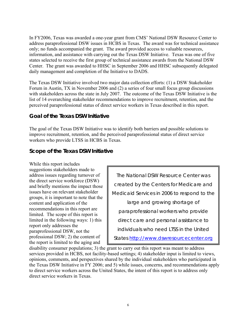<span id="page-13-0"></span>In FY2006, Texas was awarded a one-year grant from CMS' National DSW Resource Center to address paraprofessional DSW issues in HCBS in Texas. The award was for technical assistance only; no funds accompanied the grant. The award provided access to valuable resources, information, and assistance with carrying out the Texas DSW Initiative. Texas was one of five states selected to receive the first group of technical assistance awards from the National DSW Center. The grant was awarded to HHSC in September 2006 and HHSC subsequently delegated daily management and completion of the Initiative to DADS.

The Texas DSW Initiative involved two major data collection efforts: (1) a DSW Stakeholder Forum in Austin, TX in November 2006 and (2) a series of four small focus group discussions with stakeholders across the state in July 2007. The outcome of the Texas DSW Initiative is the list of 14 overarching stakeholder recommendations to improve recruitment, retention, and the perceived paraprofessional status of direct service workers in Texas described in this report.

### **Goal of the Texas DSW Initiative**

The goal of the Texas DSW Initiative was to identify both barriers and possible solutions to improve recruitment, retention, and the perceived paraprofessional status of direct service workers who provide LTSS in HCBS in Texas.

### **Scope of the Texas DSW Initiative**

While this report includes suggestions stakeholders made to address issues regarding turnover of the direct service workforce (DSW) and briefly mentions the impact those issues have on relevant stakeholder groups, it is important to note that the content and application of the recommendations in this report are limited. The scope of this report is limited in the following ways: 1) this report only addresses the paraprofessional DSW, not the professional DSW; 2) the content of the report is limited to the aging and

*The National DSW Resource Center was created by the Centers for Medicare and Medicaid Services in 2006 to respond to the large and growing shortage of paraprofessional workers who provide direct care and personal assistance to individuals who need LTSS in the United States [http://www.dswresourcecenter.org](http://www.dswresourcecenter.org/)*

disability consumer populations; 3) the grant to carry out this report was meant to address services provided in HCBS, not facility-based settings; 4) stakeholder input is limited to views, opinions, comments, and perspectives shared by the individual stakeholders who participated in the Texas DSW Initiative in FY 2006; and 5) while issues, concerns, and recommendations apply to direct service workers across the United States, the intent of this report is to address only direct service workers in Texas.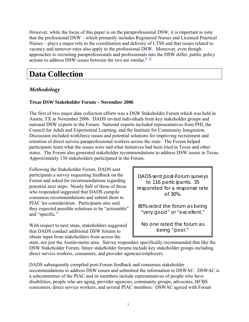<span id="page-14-0"></span>However, while the focus of this paper is on the paraprofessional DSW, it is important to note that the professional DSW – which primarily includes Registered Nurses and Licensed Practical Nurses – plays a major role in the coordination and delivery of LTSS and that issues related to vacancy and turnover rates also apply to the professional DSW. Moreover, even though approaches to recruiting paraprofessionals and professionals into the DSW differ, public policy actions to address DSW issues between the two are similar. $\frac{9}{11}$ 

## **Data Collection**

### *Methodology*

#### **Texas DSW Stakeholder Forum – November 2006**

The first of two major data collection efforts was a DSW Stakeholder Forum which was held in Austin, TX in November 2006. DADS invited individuals from key stakeholder groups and national DSW experts to the Forum. National experts included representatives from PHI, the Council for Adult and Experiential Learning, and the Institute for Community Integration. Discussion included workforce issues and potential solutions for improving recruitment and retention of direct service paraprofessional workers across the state. The Forum helped participants learn what the issues were and what initiatives had been tried in Texas and other states. The Forum also generated stakeholder recommendations to address DSW issues in Texas. Approximately 130 stakeholders participated in the Forum.

Following the Stakeholder Forum, DADS sent participants a survey requesting feedback on the Forum and asked for recommendations regarding potential next steps. Nearly half of those of those who responded suggested that DADS compile consensus recommendations and submit them to PIAC for consideration. Participants also said they expected possible solutions to be "actionable" and "specific."

With respect to next steps, stakeholders suggested that DADS conduct additional DSW forums to obtain input from stakeholders from across the

*DADS sent post-Forum surveys to 116 participants. 35 responded for a response rate of 30%.* 

*80% rated the forum as being "very good" or "excellent."* 

*No one rated the forum as being "poor."* 

state, not just the Austin-metro area. Survey responders specifically recommended that like the DSW Stakeholder Forum, future stakeholder forums include key stakeholder groups including direct service workers, consumers, and provider agencies/employers.

DADS subsequently compiled post-Forum feedback and consensus stakeholder recommendations to address DSW issues and submitted the information to DSWAC. DSWAC is a subcommittee of the PIAC and its members include representatives of people who have disabilities, people who are aging, provider agencies, community groups, advocates, HCBS consumers, direct service workers, and several PIAC members. DSWAC agreed with Forum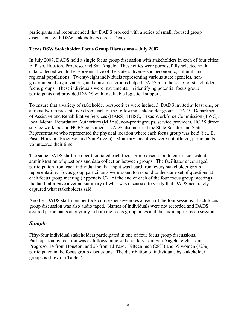<span id="page-15-0"></span>participants and recommended that DADS proceed with a series of small, focused group discussions with DSW stakeholders across Texas.

#### **Texas DSW Stakeholder Focus Group Discussions – July 2007**

In July 2007, DADS held a single focus group discussion with stakeholders in each of four cities: El Paso, Houston, Progreso, and San Angelo. These cities were purposefully selected so that data collected would be representative of the state's diverse socioeconomic, cultural, and regional populations. Twenty-eight individuals representing various state agencies, nongovernmental organizations, and consumer groups helped DADS plan the series of stakeholder focus groups. These individuals were instrumental in identifying potential focus group participants and provided DADS with invaluable logistical support.

To ensure that a variety of stakeholder perspectives were included, DADS invited at least one, or at most two, representatives from each of the following stakeholder groups: DADS, Department of Assistive and Rehabilitative Services (DARS), HHSC, Texas Workforce Commission (TWC), local Mental Retardation Authorities (MRAs), non-profit groups, service providers, HCBS direct service workers, and HCBS consumers. DADS also notified the State Senator and State Representative who represented the physical location where each focus group was held (i.e., El Paso, Houston, Progreso, and San Angelo). Monetary incentives were not offered; participants volunteered their time.

The same DADS staff member facilitated each focus group discussion to ensure consistent administration of questions and data collection between groups. The facilitator encouraged participation from each individual so that input was heard from every stakeholder group representative. Focus group participants were asked to respond to the same set of questions at each focus group meeting  $(Appendix C)$  $(Appendix C)$ . At the end of each of the four focus group meetings, the facilitator gave a verbal summary of what was discussed to verify that DADS accurately captured what stakeholders said.

Another DADS staff member took comprehensive notes at each of the four sessions. Each focus group discussion was also audio taped. Names of individuals were not recorded and DADS assured participants anonymity in both the focus group notes and the audiotape of each session.

### *Sample*

Fifty-four individual stakeholders participated in one of four focus group discussions. Participation by location was as follows: nine stakeholders from San Angelo, eight from Progreso, 14 from Houston, and 23 from El Paso. Fifteen men (28%) and 39 women (72%) participated in the focus group discussions. The distribution of individuals by stakeholder groups is shown in Table 2.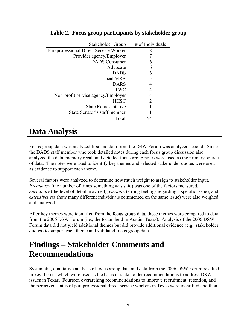| Stakeholder Group                      | # of Individuals |
|----------------------------------------|------------------|
| Paraprofessional Direct Service Worker | 8                |
| Provider agency/Employer               |                  |
| <b>DADS</b> Consumer                   | 6                |
| Advocate                               | 6                |
| <b>DADS</b>                            | 6                |
| <b>Local MRA</b>                       | 5                |
| <b>DARS</b>                            | 4                |
| TWC                                    | 4                |
| Non-profit service agency/Employer     | 4                |
| <b>HHSC</b>                            | 2                |
| <b>State Representative</b>            |                  |
| State Senator's staff member           |                  |
| Total                                  | 54               |

### <span id="page-16-0"></span>**Table 2. Focus group participants by stakeholder group**

### **Data Analysis**

Focus group data was analyzed first and data from the DSW Forum was analyzed second. Since the DADS staff member who took detailed notes during each focus group discussion also analyzed the data, memory recall and detailed focus group notes were used as the primary source of data. The notes were used to identify key themes and selected stakeholder quotes were used as evidence to support each theme.

Several factors were analyzed to determine how much weight to assign to stakeholder input. *Frequency* (the number of times something was said) was one of the factors measured. *Specificity* (the level of detail provided), *emotion* (strong feelings regarding a specific issue), and *extensiveness* (how many different individuals commented on the same issue) were also weighed and analyzed.

After key themes were identified from the focus group data, those themes were compared to data from the 2006 DSW Forum (i.e., the forum held in Austin, Texas). Analysis of the 2006 DSW Forum data did not yield additional themes but did provide additional evidence (e.g., stakeholder quotes) to support each theme and validated focus group data.

## **Findings – Stakeholder Comments and Recommendations**

Systematic, qualitative analysis of focus group data and data from the 2006 DSW Forum resulted in key themes which were used as the basis of stakeholder recommendations to address DSW issues in Texas. Fourteen overarching recommendations to improve recruitment, retention, and the perceived status of paraprofessional direct service workers in Texas were identified and then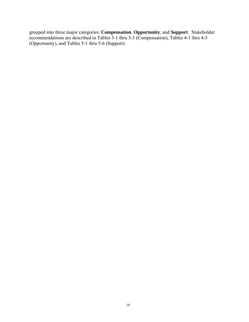grouped into three major categories: **Compensation**, **Opportunity**, and **Support**. Stakeholder recommendations are described in Tables 3-1 thru 3-3 (Compensation), Tables 4-1 thru 4-5 (Opportunity), and Tables 5-1 thru 5-6 (Support).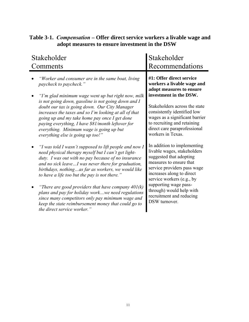| Stakeholder                                                                                                                                                                                                                                                                                                                       | Stakeholder                                                                                                                                                                                               |
|-----------------------------------------------------------------------------------------------------------------------------------------------------------------------------------------------------------------------------------------------------------------------------------------------------------------------------------|-----------------------------------------------------------------------------------------------------------------------------------------------------------------------------------------------------------|
| Comments                                                                                                                                                                                                                                                                                                                          | Recommendations                                                                                                                                                                                           |
| Worker and consumer are in the same boat, living                                                                                                                                                                                                                                                                                  | #1: Offer direct service                                                                                                                                                                                  |
| paycheck to paycheck."                                                                                                                                                                                                                                                                                                            | workers a livable wage and                                                                                                                                                                                |
| "I'm glad minimum wage went up but right now, milk                                                                                                                                                                                                                                                                                | adopt measures to ensure                                                                                                                                                                                  |
| is not going down, gasoline is not going down and I                                                                                                                                                                                                                                                                               | investment in the DSW.                                                                                                                                                                                    |
| doubt our tax is going down. Our City Manager                                                                                                                                                                                                                                                                                     | Stakeholders across the state                                                                                                                                                                             |
| increases the taxes and so I'm looking at all of that                                                                                                                                                                                                                                                                             | consistently identified low                                                                                                                                                                               |
| going up and my take home pay once I get done                                                                                                                                                                                                                                                                                     | wages as a significant barrier                                                                                                                                                                            |
| paying everything, I have \$81/month leftover for                                                                                                                                                                                                                                                                                 | to recruiting and retaining                                                                                                                                                                               |
| everything. Minimum wage is going up but                                                                                                                                                                                                                                                                                          | direct care paraprofessional                                                                                                                                                                              |
| everything else is going up too!"                                                                                                                                                                                                                                                                                                 | workers in Texas.                                                                                                                                                                                         |
| "I was told I wasn't supposed to lift people and now I<br>need physical therapy myself but I can't get light-<br>duty. I was out with no pay because of no insurance<br>and no sick leaveI was never there for graduation,<br>birthdays, nothingas far as workers, we would like<br>to have a life too but the pay is not there." | In addition to implementing<br>livable wages, stakeholders<br>suggested that adopting<br>measures to ensure that<br>service providers pass wage<br>increases along to direct<br>service workers (e.g., by |
| "There are good providers that have company $401(k)$<br>plans and pay for holiday workwe need regulations<br>since many competitors only pay minimum wage and<br>keep the state reimbursement money that could go to<br>the direct service worker."                                                                               | supporting wage pass-<br>through) would help with<br>recruitment and reducing<br>DSW turnover.                                                                                                            |

### <span id="page-18-0"></span>**Table 3-1.** *Compensation* **– Offer direct service workers a livable wage and adopt measures to ensure investment in the DSW**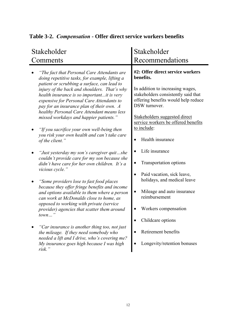| Stakeholder<br>Comments                                                                                                                                                                                                                                                                                                                                                                                                      | Stakeholder<br>Recommendations                                                                                                                                                                                                                           |
|------------------------------------------------------------------------------------------------------------------------------------------------------------------------------------------------------------------------------------------------------------------------------------------------------------------------------------------------------------------------------------------------------------------------------|----------------------------------------------------------------------------------------------------------------------------------------------------------------------------------------------------------------------------------------------------------|
| "The fact that Personal Care Attendants are<br>doing repetitive tasks, for example, lifting a<br>patient or scrubbing a surface, can lead to<br>injury of the back and shoulders. That's why<br>health insurance is so importantit is very<br>expensive for Personal Care Attendants to<br>pay for an insurance plan of their own. A<br>healthy Personal Care Attendant means less<br>missed workdays and happier patients." | #2: Offer direct service workers<br>benefits.<br>In addition to increasing wages,<br>stakeholders consistently said that<br>offering benefits would help reduce<br>DSW turnover.<br>Stakeholders suggested direct<br>service workers be offered benefits |
| "If you sacrifice your own well-being then<br>you risk your own health and can't take care<br>of the client."                                                                                                                                                                                                                                                                                                                | to include:<br>Health insurance                                                                                                                                                                                                                          |
| "Just yesterday my son's caregiver quitshe<br>couldn't provide care for my son because she<br>didn't have care for her own children. It's a<br>vicious cycle.'                                                                                                                                                                                                                                                               | Life insurance<br>Transportation options                                                                                                                                                                                                                 |
| "Some providers lose to fast food places"<br>because they offer fringe benefits and income<br>and options available to them where a person<br>can work at McDonalds close to home, as<br>opposed to working with private (service<br>provider) agencies that scatter them around<br>town                                                                                                                                     | Paid vacation, sick leave,<br>$\bullet$<br>holidays, and medical leave<br>Mileage and auto insurance<br>$\bullet$<br>reimbursement<br>Workers compensation<br>Childcare options                                                                          |
| "Car insurance is another thing too, not just<br>the mileage. If they need somebody who<br>needed a lift and I drive, who's covering me?<br>My insurance goes high because I was high<br>risk."                                                                                                                                                                                                                              | Retirement benefits<br>Longevity/retention bonuses                                                                                                                                                                                                       |

### <span id="page-19-0"></span>**Table 3-2.** *Compensation* **- Offer direct service workers benefits**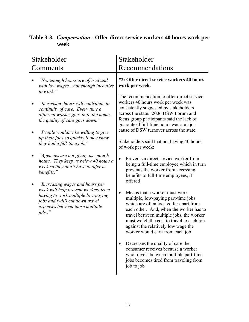| Stakeholder<br>Comments |                                                                                                                                                                    | Stakeholder<br>Recommendations                                                                                                                                                                                                                            |                                                                                                                                                                                                                                                                                                                              |
|-------------------------|--------------------------------------------------------------------------------------------------------------------------------------------------------------------|-----------------------------------------------------------------------------------------------------------------------------------------------------------------------------------------------------------------------------------------------------------|------------------------------------------------------------------------------------------------------------------------------------------------------------------------------------------------------------------------------------------------------------------------------------------------------------------------------|
|                         | "Not enough hours are offered and<br>with low wagesnot enough incentive<br>to work."                                                                               |                                                                                                                                                                                                                                                           | #3: Offer direct service workers 40 hours<br>work per week.                                                                                                                                                                                                                                                                  |
|                         | "Increasing hours will contribute to<br>continuity of care. Every time a<br>different worker goes in to the home,<br>the quality of care goes down."               | The recommendation to offer direct service<br>workers 40 hours work per week was<br>consistently suggested by stakeholders<br>across the state. 2006 DSW Forum and<br>focus group participants said the lack of<br>guaranteed full-time hours was a major | cause of DSW turnover across the state.                                                                                                                                                                                                                                                                                      |
|                         | "People wouldn't be willing to give<br>up their jobs so quickly if they knew<br>they had a full-time job."                                                         |                                                                                                                                                                                                                                                           | Stakeholders said that not having 40 hours<br>of work per week:                                                                                                                                                                                                                                                              |
|                         | "Agencies are not giving us enough<br>hours. They keep us below 40 hours a<br>week so they don't have to offer us<br>benefits."<br>"Increasing wages and hours per |                                                                                                                                                                                                                                                           | Prevents a direct service worker from<br>being a full-time employee which in turn<br>prevents the worker from accessing<br>benefits to full-time employees, if<br>offered                                                                                                                                                    |
|                         | week will help prevent workers from<br>having to work multiple low-paying<br>jobs and (will) cut down travel<br>expenses between those multiple<br>$i\circ bs.$ "  |                                                                                                                                                                                                                                                           | Means that a worker must work<br>multiple, low-paying part-time jobs<br>which are often located far apart from<br>each other. And, when the worker has to<br>travel between multiple jobs, the worker<br>must weigh the cost to travel to each job<br>against the relatively low wage the<br>worker would earn from each job |
|                         |                                                                                                                                                                    |                                                                                                                                                                                                                                                           | Decreases the quality of care the<br>consumer receives because a worker<br>who travels between multiple part-time<br>jobs becomes tired from traveling from<br>job to job                                                                                                                                                    |

### <span id="page-20-0"></span>**Table 3-3.** *Compensation* **- Offer direct service workers 40 hours work per week**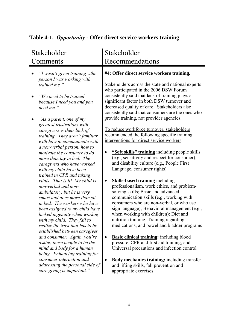| Stakeholder                                                                                                                                                                                                                                                                                                                                                                                                                                           | Stakeholder                                                                                                                                                                                                                                                                                                                                                                                                                                                                                                                                         |  |
|-------------------------------------------------------------------------------------------------------------------------------------------------------------------------------------------------------------------------------------------------------------------------------------------------------------------------------------------------------------------------------------------------------------------------------------------------------|-----------------------------------------------------------------------------------------------------------------------------------------------------------------------------------------------------------------------------------------------------------------------------------------------------------------------------------------------------------------------------------------------------------------------------------------------------------------------------------------------------------------------------------------------------|--|
| Comments                                                                                                                                                                                                                                                                                                                                                                                                                                              | Recommendations                                                                                                                                                                                                                                                                                                                                                                                                                                                                                                                                     |  |
| "I wasn't given trainingthe<br>person I was working with                                                                                                                                                                                                                                                                                                                                                                                              | #4: Offer direct service workers training.                                                                                                                                                                                                                                                                                                                                                                                                                                                                                                          |  |
| trained me."                                                                                                                                                                                                                                                                                                                                                                                                                                          | Stakeholders across the state and national experts<br>who participated in the 2006 DSW Forum                                                                                                                                                                                                                                                                                                                                                                                                                                                        |  |
| "We need to be trained<br>because I need you and you<br>need me."                                                                                                                                                                                                                                                                                                                                                                                     | consistently said that lack of training plays a<br>significant factor in both DSW turnover and<br>decreased quality of care. Stakeholders also<br>consistently said that consumers are the ones who                                                                                                                                                                                                                                                                                                                                                 |  |
| "As a parent, one of my                                                                                                                                                                                                                                                                                                                                                                                                                               | provide training, not provider agencies.                                                                                                                                                                                                                                                                                                                                                                                                                                                                                                            |  |
| greatest frustrations with<br>caregivers is their lack of<br>training. They aren't familiar<br>with how to communicate with                                                                                                                                                                                                                                                                                                                           | To reduce workforce turnover, stakeholders<br>recommended the following specific training<br>interventions for direct service workers:                                                                                                                                                                                                                                                                                                                                                                                                              |  |
| a non-verbal person, how to<br>motivate the consumer to do<br>more than lay in bed. The<br>caregivers who have worked<br>with my child have been                                                                                                                                                                                                                                                                                                      | "Soft skills" training including people skills<br>(e.g., sensitivity and respect for consumer);<br>and disability culture (e.g., People First<br>Language, consumer rights)                                                                                                                                                                                                                                                                                                                                                                         |  |
| trained in CPR and taking<br>vitals. That is it! My child is<br>non-verbal and non-<br>ambulatory, but he is very<br>smart and does more than sit<br>in bed. The workers who have<br>been assigned to my child have<br>lacked ingenuity when working<br>with my child. They fail to<br>realize the trust that has to be<br>established between caregiver<br>and consumer. Again, you're<br>asking these people to be the<br>mind and body for a human | <b>Skills-based training including</b><br>professionalism, work ethics, and problem-<br>solving skills; Basic and advanced<br>communication skills (e.g., working with<br>consumers who are non-verbal, or who use<br>sign language); Behavioral management (e.g.,<br>when working with children); Diet and<br>nutrition training; Training regarding<br>medications; and bowel and bladder programs<br><b>Basic clinical training:</b> including blood<br>pressure, CPR and first aid training; and<br>Universal precautions and infection control |  |
| being. Enhancing training for<br>consumer interaction and<br>addressing the personal side of                                                                                                                                                                                                                                                                                                                                                          | <b>Body mechanics training:</b> including transfer<br>and lifting skills, fall prevention and                                                                                                                                                                                                                                                                                                                                                                                                                                                       |  |
| care giving is important."                                                                                                                                                                                                                                                                                                                                                                                                                            | appropriate exercises                                                                                                                                                                                                                                                                                                                                                                                                                                                                                                                               |  |

### <span id="page-21-0"></span>**Table 4-1.** *Opportunity* **- Offer direct service workers training**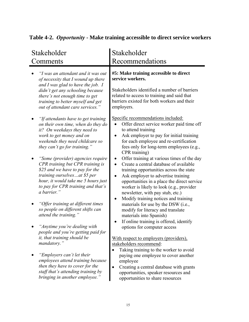| Stakeholder<br>Comments                                                                                                                                                                                                              | Stakeholder<br>Recommendations                                                                                                                                                                                                                                                                       |
|--------------------------------------------------------------------------------------------------------------------------------------------------------------------------------------------------------------------------------------|------------------------------------------------------------------------------------------------------------------------------------------------------------------------------------------------------------------------------------------------------------------------------------------------------|
| "I was an attendant and it was out<br>of necessity that I wound up there<br>and I was glad to have the job. $I$                                                                                                                      | #5: Make training accessible to direct<br>service workers.                                                                                                                                                                                                                                           |
| didn't get any schooling because<br>there's not enough time to get<br>training to better myself and get<br>out of attendant care services."                                                                                          | Stakeholders identified a number of barriers<br>related to access to training and said that<br>barriers existed for both workers and their<br>employers.                                                                                                                                             |
| "If attendants have to get training<br>on their own time, when do they do<br>it? On weekdays they need to<br>work to get money and on<br>weekends they need childcare so<br>they can't go for training."                             | Specific recommendations included:<br>Offer direct service worker paid time off<br>to attend training<br>Ask employer to pay for initial training<br>for each employee and re-certification<br>fees only for long-term employees (e.g.,<br>CPR training)                                             |
| "Some (provider) agencies require<br>CPR training but CPR training is<br>\$25 and we have to pay for the<br>training ourselvesat \$5 per<br>hour, it would take me 5 hours just<br>to pay for CPR training and that's<br>a barrier." | Offer training at various times of the day<br>Create a central database of available<br>training opportunities across the state<br>Ask employer to advertise training<br>opportunities in a place the direct service<br>worker is likely to look (e.g., provider<br>newsletter, with pay stub, etc.) |
| "Offer training at different times<br>so people on different shifts can<br>attend the training."                                                                                                                                     | Modify training notices and training<br>materials for use by the DSW (i.e.,<br>modify for literacy and translate<br>materials into Spanish)<br>If online training is offered, identify                                                                                                               |
| "Anytime you're dealing with<br>people and you're getting paid for<br>it, that training should be                                                                                                                                    | options for computer access<br>With respect to employers (providers),                                                                                                                                                                                                                                |
| mandatory."                                                                                                                                                                                                                          | stakeholders recommend:<br>Taking training to the worker to avoid                                                                                                                                                                                                                                    |
| "Employers can't let their<br>employees attend training because<br>then they have to cover for the<br>staff that's attending training by<br>bringing in another employee."                                                           | paying one employee to cover another<br>employee<br>Creating a central database with grants<br>opportunities, speaker resources and<br>opportunities to share resources                                                                                                                              |

### <span id="page-22-0"></span>**Table 4-2.** *Opportunity* **- Make training accessible to direct service workers**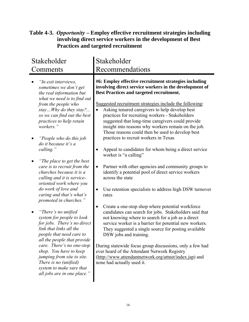### <span id="page-23-0"></span>**Table 4-3.** *Opportunity* **– Employ effective recruitment strategies including involving direct service workers in the development of Best Practices and targeted recruitment**

| Stakeholder<br>Comments                                                                                                                                                                                                                                                                                                                                                                                                                                                                                                           | Stakeholder<br>Recommendations                                                                                                                                                                                                                                                                                                                                                                                                                                                                                                                                                                                                                                                                                                                                                                                                                 |
|-----------------------------------------------------------------------------------------------------------------------------------------------------------------------------------------------------------------------------------------------------------------------------------------------------------------------------------------------------------------------------------------------------------------------------------------------------------------------------------------------------------------------------------|------------------------------------------------------------------------------------------------------------------------------------------------------------------------------------------------------------------------------------------------------------------------------------------------------------------------------------------------------------------------------------------------------------------------------------------------------------------------------------------------------------------------------------------------------------------------------------------------------------------------------------------------------------------------------------------------------------------------------------------------------------------------------------------------------------------------------------------------|
| "In exit interviews,<br>sometimes we don't get<br>the real information but<br>what we need is to find out<br>from the people who<br>stayWhy do they stay?<br>so we can find out the best<br>practices to help retain<br>workers."<br>"People who do this job<br>do it because it's a<br>calling."<br>"The place to get the best"<br>care is to recruit from the<br>churches because it is a<br>calling and it is service-<br>oriented work where you<br>do work of love and<br>caring and that's what's<br>promoted in churches." | #6: Employ effective recruitment strategies including<br>involving direct service workers in the development of<br><b>Best Practices and targeted recruitment.</b><br>Suggested recruitment strategies include the following:<br>Asking tenured caregivers to help develop best<br>practices for recruiting workers - Stakeholders<br>suggested that long-time caregivers could provide<br>insight into reasons why workers remain on the job.<br>Those reasons could then be used to develop best<br>practices to recruit workers in Texas<br>Appeal to candidates for whom being a direct service<br>worker is "a calling"<br>Partner with other agencies and community groups to<br>$\bullet$<br>identify a potential pool of direct service workers<br>across the state<br>Use retention specialists to address high DSW turnover<br>rates |
| "There's no unified<br>system for people to look<br>for jobs. There's no direct<br>link that links all the<br>people that need care to<br>all the people that provide<br>care. There's no one-stop<br>shop. You have to keep<br>jumping from site to site.<br>There is no (unified)<br>system to make sure that<br>all jobs are in one place."                                                                                                                                                                                    | Create a one-stop shop where potential workforce<br>candidates can search for jobs. Stakeholders said that<br>not knowing where to search for a job as a direct<br>service worker is a barrier for potential new workers.<br>They suggested a single source for posting available<br>DSW jobs and training.<br>During statewide focus group discussions, only a few had<br>ever heard of the Attendant Network Registry<br>(http://www.attendantnetwork.org/attnet/index.jsp) and<br>none had actually used it.                                                                                                                                                                                                                                                                                                                                |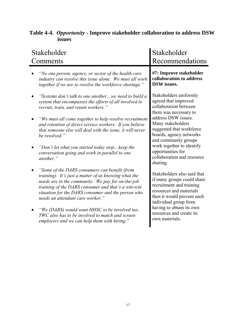| Stakeholder<br>Comments                                                                                                                                                                                                                                                                                    | Stakeholder<br>Recommendations                                                                                                                                          |
|------------------------------------------------------------------------------------------------------------------------------------------------------------------------------------------------------------------------------------------------------------------------------------------------------------|-------------------------------------------------------------------------------------------------------------------------------------------------------------------------|
| "No one person, agency, or sector of the health care<br>industry can resolve this issue alone. We must all work<br>together if we are to resolve the workforce shortage."                                                                                                                                  | #7: Improve stakeholder<br>collaboration to address<br><b>DSW</b> issues.                                                                                               |
| 'Systems don't talk to one anotherwe need to build a<br>system that encompasses the efforts of all involved to<br>recruit, train, and retain workers."                                                                                                                                                     | Stakeholders uniformly<br>agreed that improved<br>collaboration between<br>them was necessary to                                                                        |
| "We must all come together to help resolve recruitment<br>and retention of direct service workers. If you believe<br>that someone else will deal with the issue, it will never<br>be resolved."                                                                                                            | address DSW issues.<br>Many stakeholders<br>suggested that workforce<br>boards, agency networks<br>and community groups                                                 |
| "Don't let what you started today stopkeep the<br>conversation going and work in parallel to one<br>another."                                                                                                                                                                                              | work together to identify<br>opportunities for<br>collaboration and resource<br>sharing.                                                                                |
| "Some of the DARS consumers can benefit (from<br>training). It's just a matter of us knowing what the<br>needs are in the community. We pay for on-the-job<br>training of the DARS consumer and that's a win-win<br>situation for the DARS consumer and the person who<br>needs an attendant care worker." | Stakeholders also said that<br>if many groups could share<br>recruitment and training<br>resources and materials<br>then it would prevent each<br>individual group from |
| "We (DARS) would want HHSC to be involved too.<br>TWC also has to be involved to match and screen<br>employers and we can help them with hiring."                                                                                                                                                          | having to obtain its own<br>resources and create its<br>own materials.                                                                                                  |

### <span id="page-24-0"></span>**Table 4-4.** *Opportunity* **- Improve stakeholder collaboration to address DSW issues**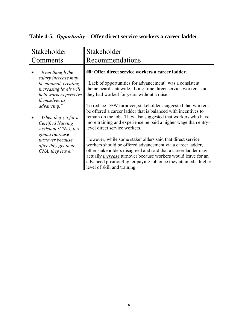### <span id="page-25-0"></span>**Table 4-5.** *Opportunity* **– Offer direct service workers a career ladder**

| Stakeholder                                                                                              | Stakeholder                                                                                                                                                                                                                                                                                                                                                          |
|----------------------------------------------------------------------------------------------------------|----------------------------------------------------------------------------------------------------------------------------------------------------------------------------------------------------------------------------------------------------------------------------------------------------------------------------------------------------------------------|
| Comments                                                                                                 | Recommendations                                                                                                                                                                                                                                                                                                                                                      |
| "Even though the                                                                                         | #8: Offer direct service workers a career ladder.                                                                                                                                                                                                                                                                                                                    |
| salary increase may                                                                                      | "Lack of opportunities for advancement" was a consistent                                                                                                                                                                                                                                                                                                             |
| be minimal, creating                                                                                     | theme heard statewide. Long-time direct service workers said                                                                                                                                                                                                                                                                                                         |
| increasing levels will                                                                                   | they had worked for years without a raise.                                                                                                                                                                                                                                                                                                                           |
| help workers perceive                                                                                    | To reduce DSW turnover, stakeholders suggested that workers                                                                                                                                                                                                                                                                                                          |
| themselves as                                                                                            | be offered a career ladder that is balanced with incentives to                                                                                                                                                                                                                                                                                                       |
| advancing."                                                                                              | remain on the job. They also suggested that workers who have                                                                                                                                                                                                                                                                                                         |
| "When they go for a                                                                                      | more training and experience be paid a higher wage than entry-                                                                                                                                                                                                                                                                                                       |
| Certified Nursing                                                                                        | level direct service workers.                                                                                                                                                                                                                                                                                                                                        |
| Assistant (CNA), it's<br>gonna increase<br>turnover because<br>after they get their<br>CNA, they leave." | However, while some stakeholders said that direct service<br>workers should be offered advancement via a career ladder,<br>other stakeholders disagreed and said that a career ladder may<br>actually <i>increase</i> turnover because workers would leave for an<br>advanced position/higher paying job once they attained a higher<br>level of skill and training. |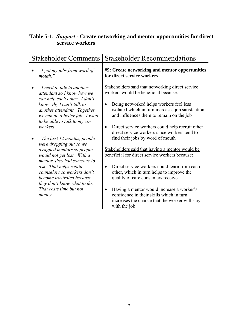### <span id="page-26-0"></span>**Table 5-1.** *Support* **- Create networking and mentor opportunities for direct service workers**

|                                                                                                                                                                                                                                                                                                                            | Stakeholder Comments Stakeholder Recommendations                                                                                                                                                                                                                                                                                                                 |  |  |
|----------------------------------------------------------------------------------------------------------------------------------------------------------------------------------------------------------------------------------------------------------------------------------------------------------------------------|------------------------------------------------------------------------------------------------------------------------------------------------------------------------------------------------------------------------------------------------------------------------------------------------------------------------------------------------------------------|--|--|
| "I got my jobs from word of<br>mouth."                                                                                                                                                                                                                                                                                     | #9: Create networking and mentor opportunities<br>for direct service workers.                                                                                                                                                                                                                                                                                    |  |  |
| "I need to talk to another<br>$\bullet$<br>attendant so I know how we<br>can help each other. I don't<br>know why I can't talk to<br>another attendant. Together<br>we can do a better job. I want<br>to be able to talk to my co-<br>workers."                                                                            | Stakeholders said that networking direct service<br>workers would be beneficial because:<br>Being networked helps workers feel less<br>isolated which in turn increases job satisfaction<br>and influences them to remain on the job<br>Direct service workers could help recruit other<br>$\bullet$<br>direct service workers since workers tend to             |  |  |
| "The first 12 months, people<br>$\bullet$<br>were dropping out so we<br>assigned mentors so people<br>would not get lost. With a<br>mentor, they had someone to<br>ask. That helps retain<br>counselors so workers don't<br>become frustrated because<br>they don't know what to do.<br>That costs time but not<br>money." | find their jobs by word of mouth<br>Stakeholders said that having a mentor would be<br>beneficial for direct service workers because:<br>Direct service workers could learn from each<br>other, which in turn helps to improve the<br>quality of care consumers receive<br>Having a mentor would increase a worker's<br>confidence in their skills which in turn |  |  |
|                                                                                                                                                                                                                                                                                                                            | increases the chance that the worker will stay<br>with the job                                                                                                                                                                                                                                                                                                   |  |  |

## Stakeholder Comments Stakeholder Recommendation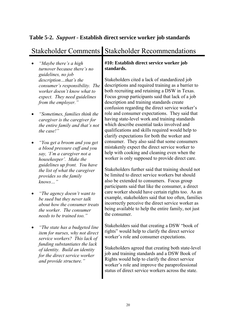### <span id="page-27-0"></span>**Table 5-2.** *Support* **- Establish direct service worker job standards**

### Stakeholder Comments Stakeholder Recommendations

- *"Maybe there's a high turnover because there's no guidelines, no job description…that's the consumer's responsibility. The worker doesn't know what to expect. They need guidelines from the employer."*
- *"Sometimes, families think the caregiver is the caregiver for the entire family and that's not the case!"*
- *"You get a broom and you get a blood pressure cuff and you say, 'I'm a caregiver not a housekeeper'. Make the guidelines up front. You have the list of what the caregiver provides so the family knows…"*
- *"The agency doesn't want to be sued but they never talk about how the consumer treats the worker. The consumer needs to be trained too."*
- *"The state has a budgeted line item for nurses, why not direct service workers? This lack of funding substantiates the lack of identity. Build an identity for the direct service worker and provide structure."*

#### **#10: Establish direct service worker job standards.**

Stakeholders cited a lack of standardized job descriptions and required training as a barrier to both recruiting and retaining a DSW in Texas. Focus group participants said that lack of a job description and training standards create confusion regarding the direct service worker's role and consumer expectations. They said that having state-level work and training standards which describe essential tasks involved and qualifications and skills required would help to clarify expectations for both the worker and consumer. They also said that some consumers mistakenly expect the direct service worker to help with cooking and cleaning even when the worker is only supposed to provide direct care.

Stakeholders further said that training should not be limited to direct service workers but should also be extended to consumers. Focus group participants said that like the consumer, a direct care worker should have certain rights too. As an example, stakeholders said that too often, families incorrectly perceive the direct service worker as being available to help the entire family, not just the consumer.

Stakeholders said that creating a DSW "book of rights" would help to clarify the direct service worker's role and consumer expectations.

Stakeholders agreed that creating both state-level job and training standards and a DSW Book of Rights would help to clarify the direct service worker's role and improve the paraprofessional status of direct service workers across the state.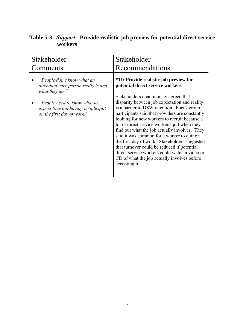| Stakeholder                                                                                                                                                                             | Stakeholder                                                                                                                                                                                                                                                                                                                                                                                                                                                                                                                                                                                                                                                                           |  |  |
|-----------------------------------------------------------------------------------------------------------------------------------------------------------------------------------------|---------------------------------------------------------------------------------------------------------------------------------------------------------------------------------------------------------------------------------------------------------------------------------------------------------------------------------------------------------------------------------------------------------------------------------------------------------------------------------------------------------------------------------------------------------------------------------------------------------------------------------------------------------------------------------------|--|--|
| Comments                                                                                                                                                                                | Recommendations                                                                                                                                                                                                                                                                                                                                                                                                                                                                                                                                                                                                                                                                       |  |  |
| "People don't know what an<br>attendant care person really is and<br>what they do."<br>"People need to know what to<br>expect to avoid having people quit<br>on the first day of work." | #11: Provide realistic job preview for<br>potential direct service workers.<br>Stakeholders unanimously agreed that<br>disparity between job expectation and reality<br>is a barrier to DSW retention. Focus group<br>participants said that providers are constantly<br>looking for new workers to recruit because a<br>lot of direct service workers quit when they<br>find out what the job actually involves. They<br>said it was common for a worker to quit on<br>the first day of work. Stakeholders suggested<br>that turnover could be reduced if potential<br>direct service workers could watch a video or<br>CD of what the job actually involves before<br>accepting it. |  |  |

### <span id="page-28-0"></span>**Table 5-3.** *Support* **- Provide realistic job preview for potential direct service workers**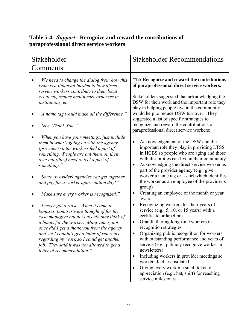### <span id="page-29-0"></span>**Table 5-4.** *Support* **- Recognize and reward the contributions of paraprofessional direct service workers**

| Stakeholder<br>Comments                    |                                                                                                                                                                                                                                                                                                                                                                                                                                                                                                                                           | <b>Stakeholder Recommendations</b>                                                                                                                                                                                                                                                                                                                                                                                                                                                                                                                                                                |  |  |
|--------------------------------------------|-------------------------------------------------------------------------------------------------------------------------------------------------------------------------------------------------------------------------------------------------------------------------------------------------------------------------------------------------------------------------------------------------------------------------------------------------------------------------------------------------------------------------------------------|---------------------------------------------------------------------------------------------------------------------------------------------------------------------------------------------------------------------------------------------------------------------------------------------------------------------------------------------------------------------------------------------------------------------------------------------------------------------------------------------------------------------------------------------------------------------------------------------------|--|--|
| institutions, etc."<br>"Say, 'Thank You'." | "We need to change the dialog from how this<br>issue is a financial burden to how direct<br>service workers contribute to their local<br>economy, reduce health care expenses in<br>"A name tag would make all the difference."                                                                                                                                                                                                                                                                                                           | #12: Recognize and reward the contributions<br>of paraprofessional direct service workers.<br>Stakeholders suggested that acknowledging the<br>DSW for their work and the important role they<br>play in helping people live in the community<br>would help to reduce DSW turnover. They<br>suggested a list of specific strategies to<br>recognize and reward the contributions of<br>paraprofessional direct service workers:                                                                                                                                                                   |  |  |
| something."                                | "When you have your meetings, just include<br>them in what's going on with the agency<br>(provider) so the workers feel a part of<br>something. People are out there on their<br>own but (they) need to feel a part of<br>"Some (provider) agencies can get together<br>and pay for a worker appreciation day!"<br>"Make sure every worker is recognized."<br>"I never got a raise. When it came to<br>bonuses, bonuses were thought of for the<br>case managers but not once do they think of<br>a bonus for the worker. Many times, not | Acknowledgement of the DSW and the<br>important role they play in providing LTSS<br>in HCBS so people who are aging and those<br>with disabilities can live in their community<br>Acknowledging the direct service worker as<br>part of the provider agency (e.g., give<br>worker a name tag or t-shirt which identifies<br>the worker as an employee of the provider's<br>group)<br>Creating an employee of the month or year<br>award<br>Recognizing workers for their years of<br>service (e.g., 5, 10, or 15 years) with a<br>certificate or lapel pin<br>Grandfathering long-time workers in |  |  |
|                                            | once did I get a thank you from the agency<br>and yet I couldn't get a letter of reference<br>regarding my work so I could get another<br>job. They said it was not allowed to get a<br>letter of recommendation."                                                                                                                                                                                                                                                                                                                        | recognition strategies<br>Organizing public recognition for workers<br>with outstanding performance and years of<br>service (e.g., publicly recognize worker in<br>newsletters)<br>Including workers in provider meetings so<br>workers feel less isolated<br>Giving every worker a small token of<br>appreciation (e.g., hat, shirt) for reaching<br>service milestones                                                                                                                                                                                                                          |  |  |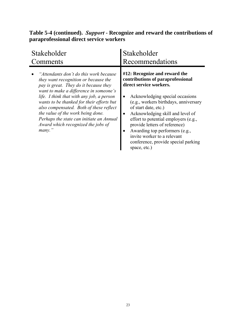### **Table 5-4 (continued).** *Support* **- Recognize and reward the contributions of paraprofessional direct service workers**

| Stakeholder                                                                                                                                                                                                                                                                                                                                                                                                                             | Stakeholder                                                                                                                                                                                                                                                                                                                                                                                                                            |
|-----------------------------------------------------------------------------------------------------------------------------------------------------------------------------------------------------------------------------------------------------------------------------------------------------------------------------------------------------------------------------------------------------------------------------------------|----------------------------------------------------------------------------------------------------------------------------------------------------------------------------------------------------------------------------------------------------------------------------------------------------------------------------------------------------------------------------------------------------------------------------------------|
| Comments                                                                                                                                                                                                                                                                                                                                                                                                                                | Recommendations                                                                                                                                                                                                                                                                                                                                                                                                                        |
| "Attendants don't do this work because"<br>they want recognition or because the<br>pay is great. They do it because they<br>want to make a difference in someone's<br>life. I think that with any job, a person<br>wants to be thanked for their efforts but<br>also compensated. Both of these reflect<br>the value of the work being done.<br>Perhaps the state can initiate an Annual<br>Award which recognized the jobs of<br>many. | #12: Recognize and reward the<br>contributions of paraprofessional<br>direct service workers.<br>Acknowledging special occasions<br>(e.g., workers birthdays, anniversary<br>of start date, etc.)<br>Acknowledging skill and level of<br>effort to potential employers (e.g.,<br>provide letters of reference)<br>Awarding top performers (e.g.,<br>invite worker to a relevant<br>conference, provide special parking<br>space, etc.) |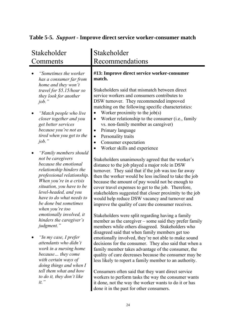### <span id="page-31-0"></span>**Table 5-5.** *Support* **- Improve direct service worker-consumer match**

| Stakeholder<br>Comments                                                                                                                                                                                                                                                                 | Stakeholder<br>Recommendations                                                                                                                                                                                                                                                                                                                                                                                                                                                                                                                                                                                                                                                                                                  |
|-----------------------------------------------------------------------------------------------------------------------------------------------------------------------------------------------------------------------------------------------------------------------------------------|---------------------------------------------------------------------------------------------------------------------------------------------------------------------------------------------------------------------------------------------------------------------------------------------------------------------------------------------------------------------------------------------------------------------------------------------------------------------------------------------------------------------------------------------------------------------------------------------------------------------------------------------------------------------------------------------------------------------------------|
| 'Sometimes the worker<br>has a consumer far from<br>home and they won't<br>travel for \$5.15/hour so<br>they look for another<br>job.'<br>"Match people who live<br>closer together and you<br>get better services<br>because you're not as<br>tired when you get to the<br>job.'       | #13: Improve direct service worker-consumer<br>match.<br>Stakeholders said that mismatch between direct<br>service workers and consumers contributes to<br>DSW turnover. They recommended improved<br>matching on the following specific characteristics:<br>Worker proximity to the $job(s)$<br>Worker relationship to the consumer (i.e., family<br>$\bullet$<br>vs. non-family member as caregiver)<br>Primary language<br>Personality traits<br>$\bullet$<br>Consumer expectation<br>$\bullet$                                                                                                                                                                                                                              |
| "Family members should<br>not be caregivers<br>because the emotional<br>relationship hinders the<br>professional relationship.<br>When you're in a crisis<br>situation, you have to be<br>level-headed, and you<br>have to do what needs to<br>be done but sometimes<br>when you're too | Worker skills and experience<br>Stakeholders unanimously agreed that the worker's<br>distance to the job played a major role in DSW<br>turnover. They said that if the job was too far away<br>then the worker would be less inclined to take the job<br>because the amount of pay would not be enough to<br>cover travel expenses to get to the job. Therefore,<br>stakeholders suggested that closer proximity to the job<br>would help reduce DSW vacancy and turnover and<br>improve the quality of care the consumer receives.                                                                                                                                                                                             |
| emotionally involved, it<br>hinders the caregiver's<br>judgment."<br>"In my case, I prefer<br>attendants who didn't<br>work in a nursing home<br>because they come<br>with certain ways of<br>doing things and when I<br>tell them what and how<br>to do it, they don't like<br>$it.$ " | Stakeholders were split regarding having a family<br>member as the caregiver – some said they prefer family<br>members while others disagreed. Stakeholders who<br>disagreed said that when family members get too<br>emotionally involved, they're not able to make sound<br>decisions for the consumer. They also said that when a<br>family member takes advantage of the consumer, the<br>quality of care decreases because the consumer may be<br>less likely to report a family member to an authority.<br>Consumers often said that they want direct service<br>workers to perform tasks the way the consumer wants<br>it done, not the way the worker wants to do it or has<br>done it in the past for other consumers. |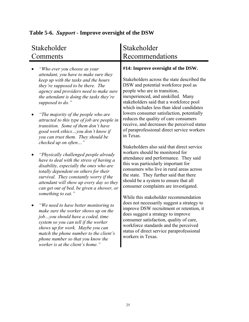<span id="page-32-0"></span>

|  | Table 5-6. Support - Improve oversight of the DSW |  |
|--|---------------------------------------------------|--|
|  |                                                   |  |

#### Stakeholder Comments Stakeholder Recommendations • *"Who ever you choose as your attendant, you have to make sure they keep up with the tasks and the hours they're supposed to be there. The agency and providers need to make sure the attendant is doing the tasks they're supposed to do."*  • *"The majority of the people who are attracted to this type of job are people in transition. Some of them don't have good work ethics…you don't know if you can trust them. They should be checked up on often…"*  • *"Physically challenged people already have to deal with the stress of having a disability, especially the ones who are totally dependent on others for their survival. They constantly worry if the attendant will show up every day so they can get out of bed, be given a shower, or something to eat."*  • *"We need to have better monitoring to make sure the worker shows up on the job…you should have a coded, time system so you can tell if the worker shows up for work. Maybe you can match the phone number to the client's phone number so that you know the worker is at the client's home."*  **#14: Improve oversight of the DSW.**  Stakeholders across the state described the DSW and potential workforce pool as people who are in transition, inexperienced, and unskilled. Many stakeholders said that a workforce pool which includes less than ideal candidates lowers consumer satisfaction, potentially reduces the quality of care consumers receive, and decreases the perceived status of paraprofessional direct service workers in Texas. Stakeholders also said that direct service workers should be monitored for attendance and performance. They said this was particularly important for consumers who live in rural areas across the state. They further said that there should be a system to ensure that all consumer complaints are investigated. While this stakeholder recommendation does not necessarily suggest a strategy to improve DSW recruitment or retention, it does suggest a strategy to improve consumer satisfaction, quality of care, workforce standards and the perceived status of direct service paraprofessional workers in Texas.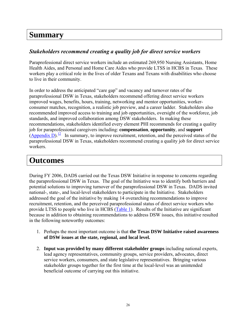### <span id="page-33-0"></span>**Summary**

#### *Stakeholders recommend creating a quality job for direct service workers*

Paraprofessional direct service workers include an estimated 269,950 Nursing Assistants, Home Health Aides, and Personal and Home Care Aides who provide LTSS in HCBS in Texas. These workers play a critical role in the lives of older Texans and Texans with disabilities who choose to live in their community.

In order to address the anticipated "care gap" and vacancy and turnover rates of the paraprofessional DSW in Texas, stakeholders recommend offering direct service workers improved wages, benefits, hours, training, networking and mentor opportunities, workerconsumer matches, recognition, a realistic job preview, and a career ladder. Stakeholders also recommended improved access to training and job opportunities, oversight of the workforce, job standards, and improved collaboration among DSW stakeholders. In making these recommendations, stakeholders identified every element PHI recommends for creating a quality job for paraprofessional caregivers including: **compensation**, **opportunity**, and **support** ([Appendix D\)](#page-43-0).<sup>12</sup> In summary, to improve recruitment, retention, and the perceived status of the paraprofessional DSW in Texas, stakeholders recommend creating a quality job for direct service workers.

### **Outcomes**

During FY 2006, DADS carried out the Texas DSW Initiative in response to concerns regarding the paraprofessional DSW in Texas. The goal of the Initiative was to identify both barriers and potential solutions to improving turnover of the paraprofessional DSW in Texas. DADS invited national-, state-, and local-level stakeholders to participate in the Initiative. Stakeholders addressed the goal of the initiative by making 14 overarching recommendations to improve recruitment, retention, and the perceived paraprofessional status of direct service workers who provide LTSS to people who live in HCBS [\(Table 1\)](#page-5-0). Results of the Initiative are significant because in addition to obtaining recommendations to address DSW issues, this initiative resulted in the following noteworthy outcomes:

- 1. Perhaps the most important outcome is that **the Texas DSW Initiative raised awareness of DSW issues at the state, regional, and local level.**
- 2. **Input was provided by many different stakeholder groups** including national experts, lead agency representatives, community groups, service providers, advocates, direct service workers, consumers, and state legislative representatives. Bringing various stakeholder groups together for the first time at the local-level was an unintended beneficial outcome of carrying out this initiative.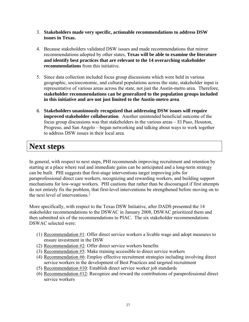- <span id="page-34-0"></span>3. **Stakeholders made very specific, actionable recommendations to address DSW issues in Texas.**
- 4. Because stakeholders validated DSW issues and made recommendations that mirror recommendations adopted by other states, **Texas will be able to examine the literature and identify best practices that are relevant to the 14 overarching stakeholder recommendations** from this initiative.
- 5. Since data collection included focus group discussions which were held in various geographic, socioeconomic, and cultural populations across the state, stakeholder input is representative of various areas across the state, not just the Austin-metro area. Therefore, **stakeholder recommendations can be generalized to the population groups included in this initiative and are not just limited to the Austin-metro area**.
- 6. **Stakeholders unanimously recognized that addressing DSW issues will require improved stakeholder collaboration**. Another unintended beneficial outcome of the focus group discussions was that stakeholders in the various areas – El Paso, Houston, Progreso, and San Angelo – began networking and talking about ways to work together to address DSW issues in their local area.

### **Next steps**

In general, with respect to next steps, PHI recommends improving recruitment and retention by starting at a place where real and immediate gains can be anticipated and a long-term strategy can be built. PHI suggests that first-stage interventions target improving jobs for paraprofessional direct care workers, recognizing and rewarding workers, and building support mechanisms for low-wage workers. PHI cautions that rather than be discouraged if first attempts do not entirely fix the problem, that first-level interventions be strengthened before moving on to the next level of interventions. $\frac{1}{1}$ 

More specifically, with respect to the Texas DSW Initiative, after DADS presented the 14 stakeholder recommendations to the DSWAC in January 2008, DSWAC prioritized them and then submitted six of the recommendations to PIAC. The six stakeholder recommendations DSWAC selected were:

- (1) Recommendation #1: Offer direct service workers a livable wage and adopt measures to ensure investment in the DSW
- (2) Recommendation #2: Offer direct service workers benefits
- (3) Recommendation #5: Make training accessible to direct service workers
- (4) Recommendation #6: Employ effective recruitment strategies including involving direct service workers in the development of Best Practices and targeted recruitment
- (5) Recommendation #10: Establish direct service worker job standards
- (6) Recommendation #12: Recognize and reward the contributions of paraprofessional direct service workers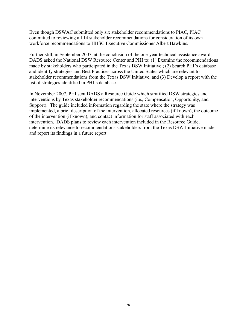Even though DSWAC submitted only six stakeholder recommendations to PIAC, PIAC committed to reviewing all 14 stakeholder recommendations for consideration of its own workforce recommendations to HHSC Executive Commissioner Albert Hawkins.

Further still, in September 2007, at the conclusion of the one-year technical assistance award, DADS asked the National DSW Resource Center and PHI to: (1) Examine the recommendations made by stakeholders who participated in the Texas DSW Initiative ; (2) Search PHI's database and identify strategies and Best Practices across the United States which are relevant to stakeholder recommendations from the Texas DSW Initiative; and (3) Develop a report with the list of strategies identified in PHI's database.

In November 2007, PHI sent DADS a Resource Guide which stratified DSW strategies and interventions by Texas stakeholder recommendations (i.e., Compensation, Opportunity, and Support). The guide included information regarding the state where the strategy was implemented, a brief description of the intervention, allocated resources (if known), the outcome of the intervention (if known), and contact information for staff associated with each intervention. DADS plans to review each intervention included in the Resource Guide, determine its relevance to recommendations stakeholders from the Texas DSW Initiative made, and report its findings in a future report.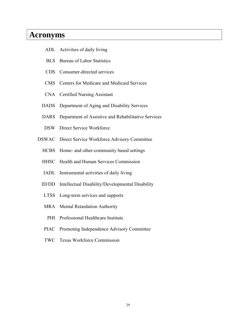### <span id="page-36-0"></span>**Acronyms**

- ADL Activities of daily living
- BLS Bureau of Labor Statistics
- CDS Consumer-directed services
- CMS Centers for Medicare and Medicaid Services
- CNA Certified Nursing Assistant
- DADS Department of Aging and Disability Services
- DARS Department of Assistive and Rehabilitative Services
- DSW Direct Service Workforce
- DSWAC Direct Service Workforce Advisory Committee
	- HCBS Home- and other-community based settings
	- HHSC Health and Human Services Commission
	- IADL Instrumental activities of daily living
	- ID/DD Intellectual Disability/Developmental Disability
	- LTSS Long-term services and supports
	- MRA Mental Retardation Authority
		- PHI Professional Healthcare Institute
	- PIAC Promoting Independence Advisory Committee
	- TWC Texas Workforce Commission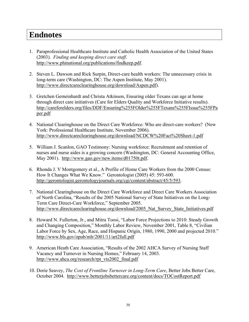### <span id="page-37-0"></span>**Endnotes**

- 1. Paraprofessional Healthcare Institute and Catholic Health Association of the United States (2003). *Finding and keeping direct care staff*. [http://www.phinational.org/publications/findkeep.pdf.](http://www.phinational.org/publications/findkeep.pdf)
- 2. Steven L. Dawson and Rick Surpin, Direct-care health workers: The unnecessary crisis in long-term care (Washington, DC: The Aspen Institute, May 2001). <http://www.directcareclearinghouse.org/download/Aspen.pdf>).
- 3. Gretchen Gemeinhardt and Christa Atkinson, Ensuring older Texans can age at home through direct care initiatives (Care for Elders Quality and Workforce Initiative results). [http://careforelders.org/files/DDF/Ensuring%255FOlder%255FTexans%255FIssue%255FPa](http://careforelders.org/files/DDF/Ensuring%255FOlder%255FTexans%255FIssue%255FPaper.pdf) [per.pdf](http://careforelders.org/files/DDF/Ensuring%255FOlder%255FTexans%255FIssue%255FPaper.pdf)
- 4. National Clearinghouse on the Direct Care Workforce: Who are direct-care workers? (New York: Professional Healthcare Institute, November 2006). <http://www.directcareclearinghouse.org/download/NCDCW%20Fact%20Sheet-1.pdf>
- 5. William J. Scanlon, GAO Testimony: Nursing workforce: Recruitment and retention of nurses and nurse aides is a growing concern (Washington, DC: General Accounting Office, May 2001). [http://www.gao.gov/new.items/d01750t.pdf.](http://www.gao.gov/new.items/d01750t.pdf)
- 6. Rhonda J. V Montgomery et al., A Profile of Home Care Workers from the 2000 Census: How It Changes What We Know." Gerontologist (2005) 45: 593-600. [http://gerontologist.gerontologyjournals.org/cgi/content/abstract/45/5/593.](http://gerontologist.gerontologyjournals.org/cgi/content/abstract/45/5/593)
- 7. National Clearinghouse on the Direct Care Workforce and Direct Care Workers Association of North Carolina, "Results of the 2005 National Survey of State Initiatives on the Long-Term Care Direct-Care Workforce," September 2005. http://www.directcareclearinghouse.org/download/2005 Nat\_Survey\_State\_Initiatives.pdf
- 8. Howard N. Fullerton, Jr., and Mitra Toosi, "Labor Force Projections to 2010: Steady Growth and Changing Composition," Monthly Labor Review, November 2001, Table 8, "Civilian Labor Force by Sex, Age, Race, and Hispanic Origin, 1980, 1990, 2000 and projected 2010." <http://www.bls.gov/opub/mlr/2001/11/art2full.pdf>
- 9. American Heath Care Association, "Results of the 2002 AHCA Survey of Nursing Staff Vacancy and Turnover in Nursing Homes," February 14, 2003. [http://www.ahca.org/research/rpt\\_vts2002\\_final.pdf](http://www.ahca.org/research/rpt_vts2002_final.pdf)
- 10. Dorie Seavey, *The Cost of Frontline Turnover in Long-Term Care*, Better Jobs Better Care, October 2004. <http://www.betterjobsbettercare.org/content/docs/TOCostReport.pdf>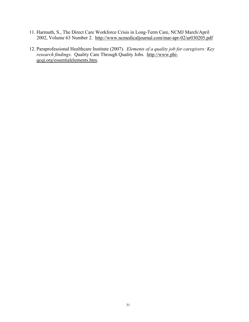- <span id="page-38-0"></span>11. Harmuth, S., The Direct Care Workforce Crisis in Long-Term Care, NCMJ March/April 2002, Volume 63 Number 2. <http://www.ncmedicaljournal.com/mar-apr-02/ar030205.pdf>
- 12. Paraprofessional Healthcare Institute (2007). *Elements of a quality job for caregivers: Key research findings*. Quality Care Through Quality Jobs. [http://www.phi](http://www.phi-qcqj.org/essentialelements.htm)[qcqj.org/essentialelements.htm.](http://www.phi-qcqj.org/essentialelements.htm)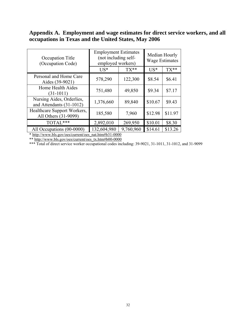### <span id="page-39-0"></span>**Appendix A. Employment and wage estimates for direct service workers, and all occupations in Texas and the United States, May 2006**

| Occupation Title<br>(Occupation Code)                 | <b>Employment Estimates</b><br>(not including self-<br>employed workers) |           | Median Hourly<br><b>Wage Estimates</b> |         |
|-------------------------------------------------------|--------------------------------------------------------------------------|-----------|----------------------------------------|---------|
|                                                       | $US^*$                                                                   | $TX**$    | $US*$                                  | $TX**$  |
| Personal and Home Care<br>Aides (39-9021)             | 578,290                                                                  | 122,300   | \$8.54                                 | \$6.41  |
| Home Health Aides<br>$(31-1011)$                      | 751,480                                                                  | 49,850    | \$9.34                                 | \$7.17  |
| Nursing Aides, Orderlies,<br>and Attendants (31-1012) | 1,376,660                                                                | 89,840    | \$10.67                                | \$9.43  |
| Healthcare Support Workers,<br>All Others (31-9099)   | 185,580                                                                  | 7,960     | \$12.98                                | \$11.97 |
| TOTAL***                                              | 2,892,010                                                                | 269,950   | \$10.01                                | \$8.30  |
| All Occupations (00-0000)                             | 132,604,980                                                              | 9,760,960 | \$14.61                                | \$13.26 |

\* [http://www.bls.gov/oes/current/oes\\_nat.htm#b31-0000](http://www.bls.gov/oes/current/oes_nat.htm#b31-0000) \*\* [http://www.bls.gov/oes/current/oes\\_tx.htm#b00-0000](http://www.bls.gov/oes/current/oes_tx.htm#b00-0000)

\*\*\* Total of direct service worker occupational codes including: 39-9021, 31-1011, 31-1012, and 31-9099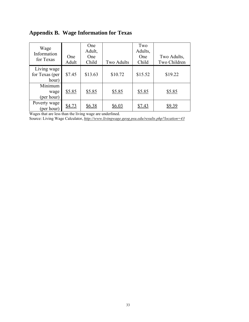| Wage<br>Information<br>for Texas       | One<br>Adult | One<br>Adult,<br>One<br>Child | Two Adults | Two<br>Adults,<br>One<br>Child | Two Adults,<br>Two Children |
|----------------------------------------|--------------|-------------------------------|------------|--------------------------------|-----------------------------|
| Living wage<br>for Texas (per<br>hour) | \$7.45       | \$13.63                       | \$10.72    | \$15.52                        | \$19.22                     |
| Minimum<br>wage<br>(per hour)          | \$5.85       | \$5.85                        | \$5.85     | \$5.85                         | \$5.85                      |
| Poverty wage<br>(per hour)             | \$4.73       | \$6.38                        | \$6.03     | \$7.43                         | \$9.39                      |

### <span id="page-40-0"></span>**Appendix B. Wage Information for Texas**

Wages that are less than the living wage are underlined.

Source: Living Wage Calculator, *<http://www.livingwage.geog.psu.edu/results.php?location=43>*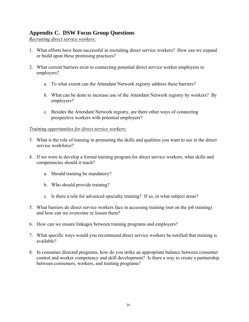### <span id="page-41-0"></span>**Appendix C. DSW Focus Group Questions**

*Recruiting direct service workers:*

- . What efforts have been successful in recruiting direct service workers? How can we expand 1 or build upon these promising practices?
- 2. What current barriers exist to connecting potential direct service worker employees to employers?
	- a. To what extent can the Attendant Network registry address these barriers?
	- b. What can be done to increase use of the Attendant Network registry by workers? By employers?
	- c. Besides the Attendant Network registry, are there other ways of connecting prospective workers with potential employers?

#### **Training opportunities for direct service workers:**

- . What is the role of training in promoting the skills and qualities you want to see in the direct 3 service workforce?
- 4. If we were to develop a formal training program for direct service workers, what skills and competencies should it teach?
	- a. Should training be mandatory?
	- b. Who should provide training?
	- c. Is there a role for advanced specialty training? If so, in what subject areas?
- 5. What barriers do direct service workers face in accessing training (not on the job training) and how can we overcome or lessen them?
- 6. How can we ensure linkages between training programs and employers?
- 7. What specific ways would you recommend direct service workers be notified that training is available?
- 8. In consumer directed programs, how do you strike an appropriate balance between consumer control and worker competency and skill development? Is there a way to create a partnership between consumers, workers, and training programs?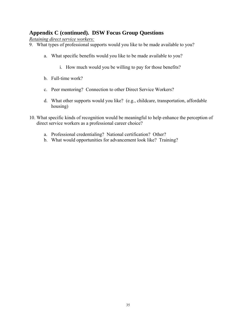### **Appendix C (continued). DSW Focus Group Questions**

*Retaining direct service workers:*

- 9. What types of professional supports would you like to be made available to you?
	- a. What specific benefits would you like to be made available to you?
		- i. How much would you be willing to pay for those benefits?
	- b. Full-time work?
	- c. Peer mentoring? Connection to other Direct Service Workers?
	- d. What other supports would you like? (e.g., childcare, transportation, affordable housing)
- 10. What specific kinds of recognition would be meaningful to help enhance the perception of direct service workers as a professional career choice?
	- a. Professional credentialing? National certification? Other?
	- b. What would opportunities for advancement look like? Training?